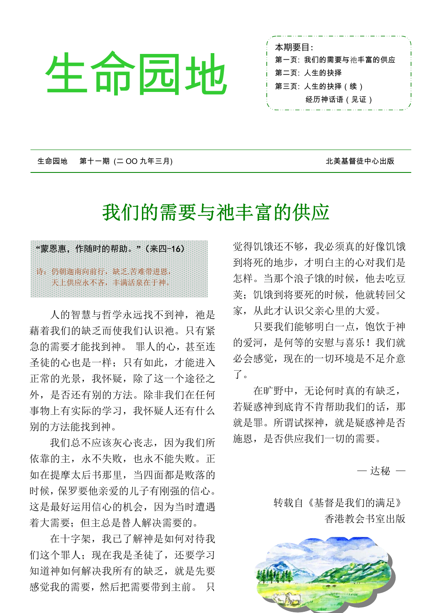# j  $\sum_{\mathbf{p}}$   $\sum_{\mathbf{p}}$   $\sum_{\mathbf{p}}$   $\sum_{\mathbf{p}}$   $\sum_{\mathbf{p}}$   $\sum_{\mathbf{p}}$   $\sum_{\mathbf{p}}$   $\sum_{\mathbf{p}}$   $\sum_{\mathbf{p}}$   $\sum_{\mathbf{p}}$   $\sum_{\mathbf{p}}$   $\sum_{\mathbf{p}}$   $\sum_{\mathbf{p}}$   $\sum_{\mathbf{p}}$   $\sum_{\mathbf{p}}$   $\sum_{\mathbf{p}}$   $\sum_{\mathbf{p}}$   $\sum_{\mathbf{p}}$   $\sum_{\$

本期要目: 第一页: 我们的需要与祂丰富的供应 第二页: 人生的抉择 经历神话语(见证)

生命园地 第十一期 (二 OO 九年三月) 北美基督徒中心出版

## 我们的需要与祂丰富的供应



人的智慧与哲学永远找不到神, 祂是 藉着我们的缺乏而使我们认识祂。只有紧 急的需要才能找到神。 罪人的心,甚至连 圣徒的心也是一样;只有如此,才能进入 正常的光景,我怀疑,除了这一个途径之 外,是否还有别的方法。除非我们在任何 事物上有实际的学习,我怀疑人还有什么 别的方法能找到神。

我们总不应该灰心丧志,因为我们所 依靠的主,永不失败,也永不能失败。正 如在提摩太后书那里,当四面都是败落的 时候,保罗要他亲爱的儿子有刚强的信心。 这是最好运用信心的机会,因为当时遭遇 着大需要;但主总是替人解决需要的。

在十字架,我已了解神是如何对待我 们这个罪人;现在我是圣徒了,还要学习 知道神如何解决我所有的缺乏,就是先要 感觉我的需要,然后把需要带到主前。 只

觉得饥饿还不够,我必须真的好像饥饿 到将死的地步,才明白主的心对我们是 怎样。当那个浪子饿的时候,他去吃豆 荚;饥饿到将要死的时候,他就转回父 家,从此才认识父亲心里的大爱。

只要我们能够明白一点,饱饮于神 的爱河,是何等的安慰与喜乐!我们就 必会感觉,现在的一切环境是不足介意 了。

在旷野中,无论何时真的有缺乏, 若疑惑神到底肯不肯帮助我们的话,那 就是罪。所谓试探神,就是疑惑神是否 施恩,是否供应我们一切的需要。

— 达秘 —

 转载自《基督是我们的满足》 香港教会书室出版

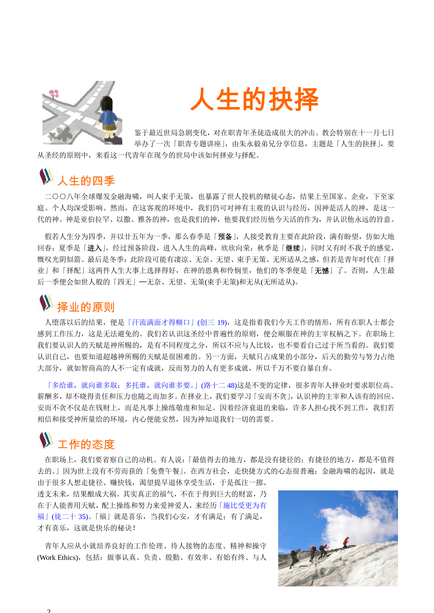



鉴于最近世局急剧变化,对在职青年圣徒造成很大的冲击。教会特别在十一月七日 举办了一次「职青专题讲座」,由朱永毅弟兄分享信息,主题是「人生的抉择」,要

从圣经的原则中,来看这一代青年在现今的世局中该如何择业与择配。

#### 人生的四季

 二○○八年全球爆发金融海啸,叫人束手无策,也暴露了世人投机的赌徒心态,结果上至国家、企业,下至家 庭、个人均深受影响。然而,在这客观的环境中,我们仍可对神有主观的认识与经历,因神是活人的神,是这一 代的神。神是亚伯拉罕、以撒、雅各的神,也是我们的神,他要我们经历他今天活的作为,并认识他永远的旨意。

假若人生分为四季,并以廿五年为一季,那么春季是「预备」,人接受教育主要在此阶段,满有盼望,仿如大地 回春;夏季是「进入」,经过预备阶段,进入人生的高峰,欣欣向荣;秋季是「继续」,同时又有时不我予的感觉, 慨叹光阴似箭。最后是冬季:此阶段可能有凄凉、无奈、无望、束手无策、无所适从之感,但若是青年时代在「择 业」和「择配」这两件人生大事上选择得好, 在神的恩典和怜悯里, 他们的冬季便是「**无憾**」了。否则, 人生最 后一季便会如世人般的「四无」─无奈、无望、无策(束手无策)和无从(无所适从)。

## 择业的原则

 人堕落以后的结果,便是「汗流满面才得糊口」(创三 19),这是指着我们今天工作的情形,所有在职人士都会 感到工作压力,这是无法避免的。我们若认识这圣经中普遍性的原则,便会顺服在神的主宰权柄之下。在职场上 我们要认识人的天赋是神所赐的,是有不同程度之分,所以不应与人比较,也不要看自己过于所当看的。我们要 认识自己,也要知道超越神所赐的天赋是很困难的。另一方面,天赋只占成果的小部分,后天的勤劳与努力占绝 大部分,就如智商高的人不一定有成就,反而努力的人有更多成就,所以千万不要自暴自弃。

「多给谁,就向谁多取;多托谁,就向谁多要。」(路十二 48)这是不变的定律,很多青年人择业时要求职位高、 薪酬多,却不晓得责任和压力也随之而加多。在择业上,我们要学习「安而不贪」,认识神的主宰和人该有的回应。 安而不贪不仅是在钱财上,而是凡事上操练敬虔和知足。因着经济衰退的来临,许多人担心找不到工作,我们若 相信和接受神所量给的环境,内心便能安然,因为神知道我们一切的需要。

### 工作的态度

 在职场上,我们要省察自己的动机。有人说:「最值得去的地方,都是没有捷径的;有捷径的地方,都是不值得 去的。」因为世上没有不劳而获的「免费午餐」。在西方社会,走快捷方式的心态很普遍;金融海啸的起因,就是 由于很多人想走捷径、赚快钱,渴望提早退休享受生活,于是孤注一掷、

透支未来,结果酿成大祸。其实真正的福气,不在于得到巨大的财富,乃 在于人能善用天赋,配上操练和努力来爱神爱人,来经历「施比受更为有 福|(徒二十 35)。「福|就是喜乐,当我们心安,才有满足;有了满足, 才有喜乐,这就是快乐的秘诀!

 青年人应从小就培养良好的工作伦理、待人接物的态度、精神和操守 (Work Ethics),包括:做事认真、负责、殷勤、有效率、有始有终、与人

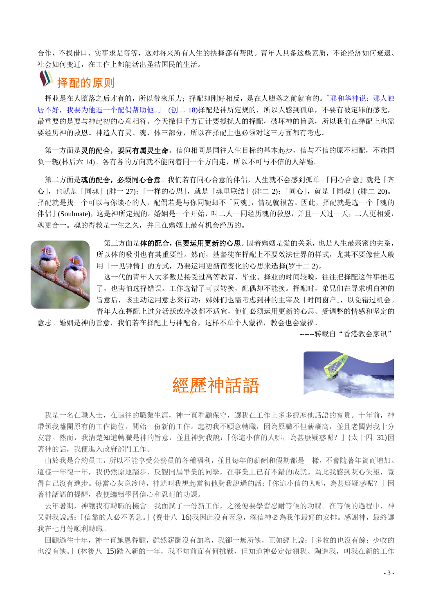合作、不找借口、实事求是等等,这对将来所有人生的抉择都有帮助。青年人具备这些素质,不论经济如何衰退、 社会如何变迁,在工作上都能活出圣洁国民的生活。

#### 择配的原则

择业是在人堕落之后才有的,所以带来压力;择配却刚好相反,是在人堕落之前就有的。「耶和华神说:那人独 居不好,我要为他造一个配偶帮助他。」 (创二 18)择配是神所定规的,所以人感到孤单,不要有被定罪的感觉, 最重要的是要与神起初的心意相符。今天撒但千方百计要搅扰人的择配,破坏神的旨意,所以我们在择配上也需 要经历神的救恩。神造人有灵、魂、体三部分,所以在择配上也必须对这三方面都有考虑。

第一方面是灵的配合,要同有属灵生命。信仰相同是同往人生目标的基本起步,信与不信的原不相配,不能同 负一轭(林后六 14)。各有各的方向就不能向着同一个方向走,所以不可与不信的人结婚。

 第二方面是魂的配合,必须同心合意。我们若有同心合意的伴侣,人生就不会感到孤单。「同心合意」就是「齐 心」,也就是「同魂」(腓一 27);「一样的心思」,就是「魂里联结」(腓二 2);「同心」,就是「同魂」(腓二 20)。 择配就是找一个可以与你谈心的人,配偶若是与你同轭却不「同魂」,情况就很苦。因此,择配就是选一个「魂的 伴侣 | (Soulmate), 这是神所定规的。婚姻是一个开始, 叫二人一同经历魂的救恩, 并且一天过一天, 二人更相爱, 魂更合一。魂的得救是一生之久,并且在婚姻上最有机会经历的。



第三方面是体的配合,但要运用更新的心思。因着婚姻是爱的关系,也是人生最亲密的关系, 所以体的吸引也有其重要性。然而,基督徒在择配上不要效法世界的样式,尤其不要像世人般 用「一见钟情」的方式,乃要运用更新而变化的心思来选择(罗十二 2)。

 这一代的青年人大多数是接受过高等教育,毕业、择业的时间较晚,往往把择配这件事推迟 了,也害怕选择错误。工作选错了可以转换,配偶却不能换。择配时,弟兄们在寻求明白神的 旨意后,该主动运用意志来行动;姊妹们也需考虑到神的主宰及「时间窗户」,以免错过机会。 青年人在择配上过分活跃或冷淡都不适宜,他们必须运用更新的心思、受调整的情感和坚定的

意志。婚姻是神的旨意,我们若在择配上与神配合,这样不单个人蒙福,教会也会蒙福。

------转载自"香港教会家讯"





我是一名在職人十,在過往的職業生涯,神一直看顧保守,讓我在工作上多多經歷他話語的寶貴。十年前,神 帶領我離開原有的工作崗位,開始一份新的工作。起初我不願意轉職,因為原職不但薪酬高,並且老闆對我十分 友善。然而,我清楚知道轉職是神的旨意,並且神對我說:「你這小信的人哪,為甚麼疑惑呢?」(太十四 31)因 著神的話,我便進入政府部門工作。

 由於我是合約員工,所以不能享受公務員的各種福利,並且每年的薪酬和假期都是一樣,不會隨著年資而增加。 這樣一年復一年,我仍然原地踏步,反觀同屆畢業的同學,在事業上已有不錯的成就。為此我感到灰心失望,覺 得自己沒有進步。每當心灰意冷時,神就叫我想起當初他對我說過的話:「你這小信的人哪,為甚麼疑惑呢?」因 著神話語的提醒,我便繼續學習信心和忍耐的功課。

 去年暑期,神讓我有轉職的機會。我面試了一份新工作,之後便要學習忍耐等候的功課。在等候的過程中,神 又對我說話:「信靠的人必不著急。」(賽廿八 16)我因此沒有著急,深信神必為我作最好的安排。感謝神,最終讓 我在七月份順利轉職。

回顧過往十年,神一直施恩眷顧,雖然薪酬沒有加增,我卻一無所缺,正如經上說:「多收的也沒有餘;少收的 也沒有缺。」(林後八 15)踏入新的一年,我不知前面有何挑戰,但知道神必定帶領我、陶造我,叫我在新的工作